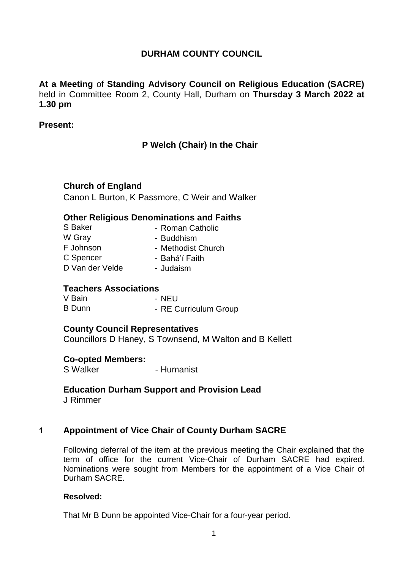# **DURHAM COUNTY COUNCIL**

**At a Meeting** of **Standing Advisory Council on Religious Education (SACRE)** held in Committee Room 2, County Hall, Durham on **Thursday 3 March 2022 at 1.30 pm**

#### **Present:**

# **P Welch (Chair) In the Chair**

## **Church of England**

Canon L Burton, K Passmore, C Weir and Walker

#### **Other Religious Denominations and Faiths**

| S Baker         | - Roman Catholic   |
|-----------------|--------------------|
| W Gray          | - Buddhism         |
| F Johnson       | - Methodist Church |
| C Spencer       | - Bahá'í Faith     |
| D Van der Velde | - Judaism          |

## **Teachers Associations**

V Bain - NEU B Dunn - RE Curriculum Group

## **County Council Representatives**

Councillors D Haney, S Townsend, M Walton and B Kellett

## **Co-opted Members:**

S Walker - Humanist

# **Education Durham Support and Provision Lead**

J Rimmer

## **1 Appointment of Vice Chair of County Durham SACRE**

Following deferral of the item at the previous meeting the Chair explained that the term of office for the current Vice-Chair of Durham SACRE had expired. Nominations were sought from Members for the appointment of a Vice Chair of Durham SACRE.

#### **Resolved:**

That Mr B Dunn be appointed Vice-Chair for a four-year period.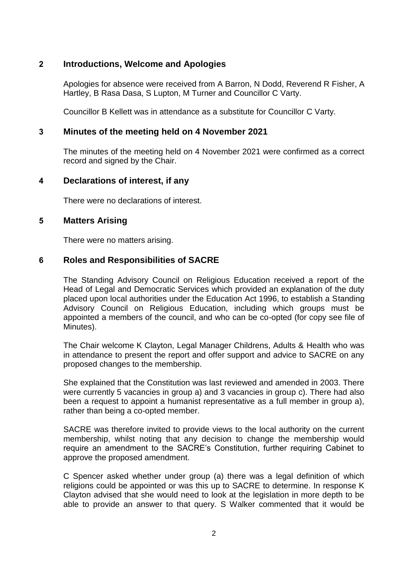## **2 Introductions, Welcome and Apologies**

Apologies for absence were received from A Barron, N Dodd, Reverend R Fisher, A Hartley, B Rasa Dasa, S Lupton, M Turner and Councillor C Varty.

Councillor B Kellett was in attendance as a substitute for Councillor C Varty.

#### **3 Minutes of the meeting held on 4 November 2021**

The minutes of the meeting held on 4 November 2021 were confirmed as a correct record and signed by the Chair.

## **4 Declarations of interest, if any**

There were no declarations of interest.

#### **5 Matters Arising**

There were no matters arising.

#### **6 Roles and Responsibilities of SACRE**

The Standing Advisory Council on Religious Education received a report of the Head of Legal and Democratic Services which provided an explanation of the duty placed upon local authorities under the Education Act 1996, to establish a Standing Advisory Council on Religious Education, including which groups must be appointed a members of the council, and who can be co-opted (for copy see file of Minutes).

The Chair welcome K Clayton, Legal Manager Childrens, Adults & Health who was in attendance to present the report and offer support and advice to SACRE on any proposed changes to the membership.

She explained that the Constitution was last reviewed and amended in 2003. There were currently 5 vacancies in group a) and 3 vacancies in group c). There had also been a request to appoint a humanist representative as a full member in group a), rather than being a co-opted member.

SACRE was therefore invited to provide views to the local authority on the current membership, whilst noting that any decision to change the membership would require an amendment to the SACRE's Constitution, further requiring Cabinet to approve the proposed amendment.

C Spencer asked whether under group (a) there was a legal definition of which religions could be appointed or was this up to SACRE to determine. In response K Clayton advised that she would need to look at the legislation in more depth to be able to provide an answer to that query. S Walker commented that it would be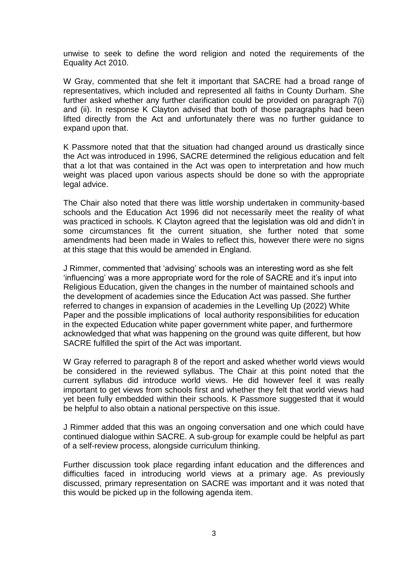unwise to seek to define the word religion and noted the requirements of the Equality Act 2010.

W Gray, commented that she felt it important that SACRE had a broad range of representatives, which included and represented all faiths in County Durham. She further asked whether any further clarification could be provided on paragraph 7(i) and (ii). In response K Clayton advised that both of those paragraphs had been lifted directly from the Act and unfortunately there was no further guidance to expand upon that.

K Passmore noted that that the situation had changed around us drastically since the Act was introduced in 1996, SACRE determined the religious education and felt that a lot that was contained in the Act was open to interpretation and how much weight was placed upon various aspects should be done so with the appropriate legal advice.

The Chair also noted that there was little worship undertaken in community-based schools and the Education Act 1996 did not necessarily meet the reality of what was practiced in schools. K Clayton agreed that the legislation was old and didn't in some circumstances fit the current situation, she further noted that some amendments had been made in Wales to reflect this, however there were no signs at this stage that this would be amended in England.

J Rimmer, commented that 'advising' schools was an interesting word as she felt 'influencing' was a more appropriate word for the role of SACRE and it's input into Religious Education, given the changes in the number of maintained schools and the development of academies since the Education Act was passed. She further referred to changes in expansion of academies in the Levelling Up (2022) White Paper and the possible implications of local authority responsibilities for education in the expected Education white paper government white paper, and furthermore acknowledged that what was happening on the ground was quite different, but how SACRE fulfilled the spirt of the Act was important.

W Gray referred to paragraph 8 of the report and asked whether world views would be considered in the reviewed syllabus. The Chair at this point noted that the current syllabus did introduce world views. He did however feel it was really important to get views from schools first and whether they felt that world views had yet been fully embedded within their schools. K Passmore suggested that it would be helpful to also obtain a national perspective on this issue.

J Rimmer added that this was an ongoing conversation and one which could have continued dialogue within SACRE. A sub-group for example could be helpful as part of a self-review process, alongside curriculum thinking.

Further discussion took place regarding infant education and the differences and difficulties faced in introducing world views at a primary age. As previously discussed, primary representation on SACRE was important and it was noted that this would be picked up in the following agenda item.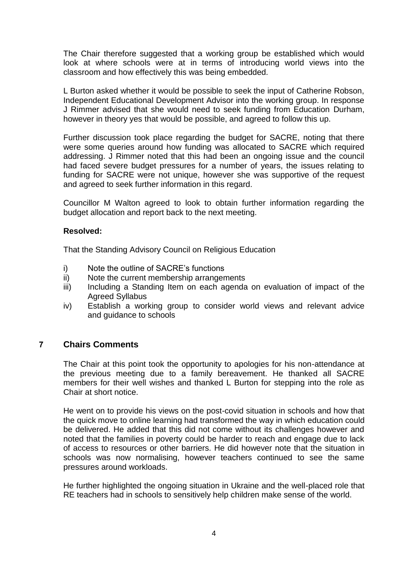The Chair therefore suggested that a working group be established which would look at where schools were at in terms of introducing world views into the classroom and how effectively this was being embedded.

L Burton asked whether it would be possible to seek the input of Catherine Robson, Independent Educational Development Advisor into the working group. In response J Rimmer advised that she would need to seek funding from Education Durham, however in theory yes that would be possible, and agreed to follow this up.

Further discussion took place regarding the budget for SACRE, noting that there were some queries around how funding was allocated to SACRE which required addressing. J Rimmer noted that this had been an ongoing issue and the council had faced severe budget pressures for a number of years, the issues relating to funding for SACRE were not unique, however she was supportive of the request and agreed to seek further information in this regard.

Councillor M Walton agreed to look to obtain further information regarding the budget allocation and report back to the next meeting.

#### **Resolved:**

That the Standing Advisory Council on Religious Education

- i) Note the outline of SACRE's functions
- ii) Note the current membership arrangements
- iii) Including a Standing Item on each agenda on evaluation of impact of the Agreed Syllabus
- iv) Establish a working group to consider world views and relevant advice and guidance to schools

## **7 Chairs Comments**

The Chair at this point took the opportunity to apologies for his non-attendance at the previous meeting due to a family bereavement. He thanked all SACRE members for their well wishes and thanked L Burton for stepping into the role as Chair at short notice.

He went on to provide his views on the post-covid situation in schools and how that the quick move to online learning had transformed the way in which education could be delivered. He added that this did not come without its challenges however and noted that the families in poverty could be harder to reach and engage due to lack of access to resources or other barriers. He did however note that the situation in schools was now normalising, however teachers continued to see the same pressures around workloads.

He further highlighted the ongoing situation in Ukraine and the well-placed role that RE teachers had in schools to sensitively help children make sense of the world.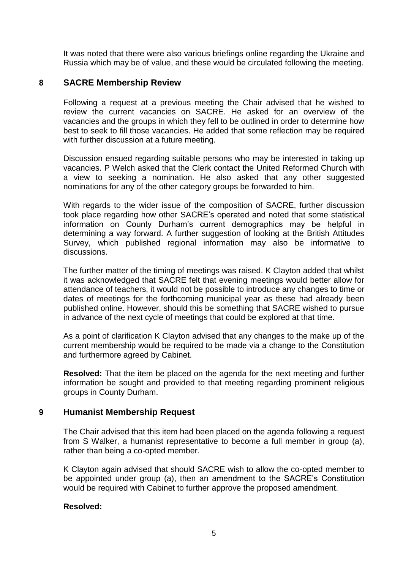It was noted that there were also various briefings online regarding the Ukraine and Russia which may be of value, and these would be circulated following the meeting.

## **8 SACRE Membership Review**

Following a request at a previous meeting the Chair advised that he wished to review the current vacancies on SACRE. He asked for an overview of the vacancies and the groups in which they fell to be outlined in order to determine how best to seek to fill those vacancies. He added that some reflection may be required with further discussion at a future meeting.

Discussion ensued regarding suitable persons who may be interested in taking up vacancies. P Welch asked that the Clerk contact the United Reformed Church with a view to seeking a nomination. He also asked that any other suggested nominations for any of the other category groups be forwarded to him.

With regards to the wider issue of the composition of SACRE, further discussion took place regarding how other SACRE's operated and noted that some statistical information on County Durham's current demographics may be helpful in determining a way forward. A further suggestion of looking at the British Attitudes Survey, which published regional information may also be informative to discussions.

The further matter of the timing of meetings was raised. K Clayton added that whilst it was acknowledged that SACRE felt that evening meetings would better allow for attendance of teachers, it would not be possible to introduce any changes to time or dates of meetings for the forthcoming municipal year as these had already been published online. However, should this be something that SACRE wished to pursue in advance of the next cycle of meetings that could be explored at that time.

As a point of clarification K Clayton advised that any changes to the make up of the current membership would be required to be made via a change to the Constitution and furthermore agreed by Cabinet.

**Resolved:** That the item be placed on the agenda for the next meeting and further information be sought and provided to that meeting regarding prominent religious groups in County Durham.

## **9 Humanist Membership Request**

The Chair advised that this item had been placed on the agenda following a request from S Walker, a humanist representative to become a full member in group (a), rather than being a co-opted member.

K Clayton again advised that should SACRE wish to allow the co-opted member to be appointed under group (a), then an amendment to the SACRE's Constitution would be required with Cabinet to further approve the proposed amendment.

#### **Resolved:**